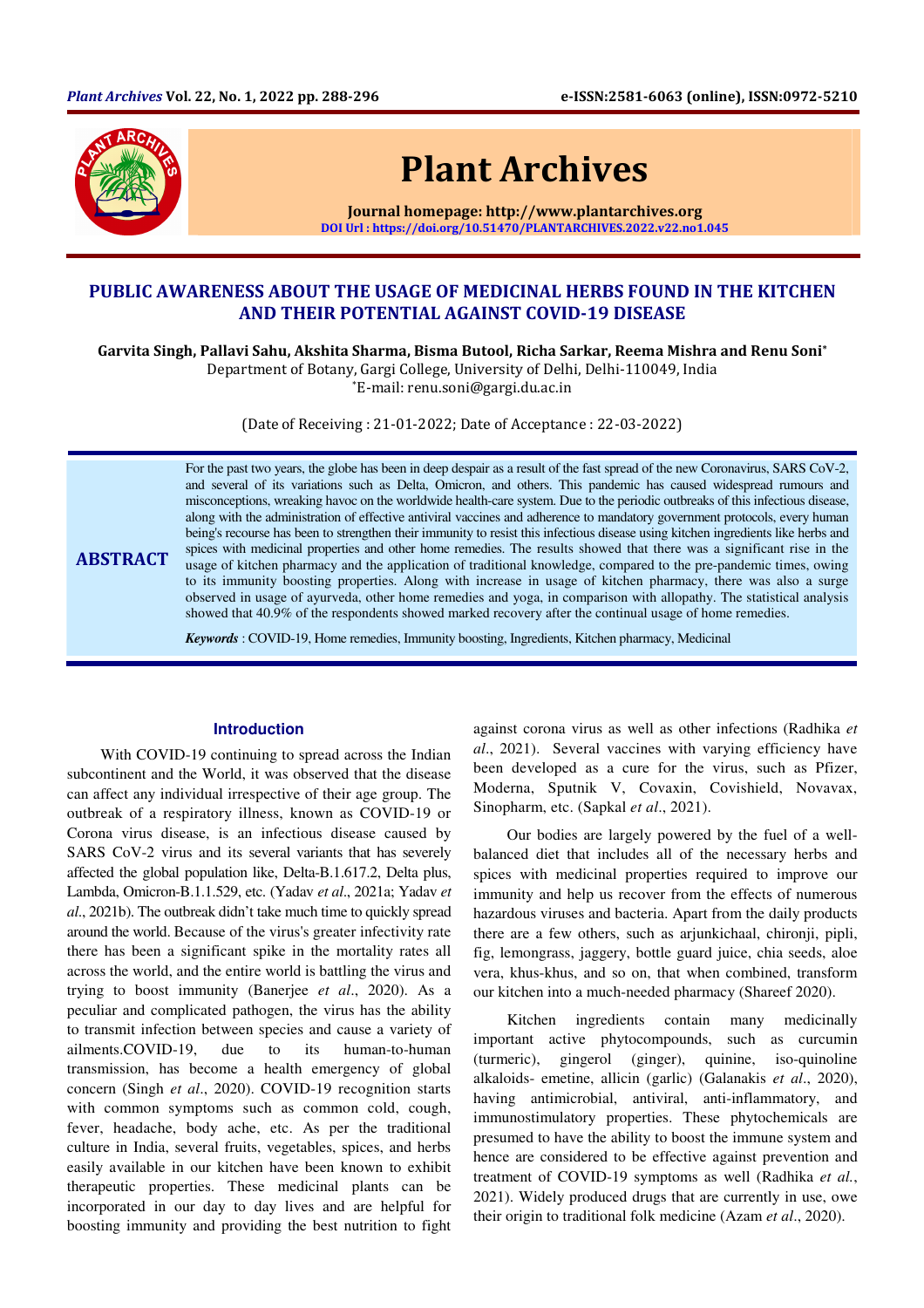

**ABSTRACT** 

# Plant Archives

Journal homepage: http://www.plantarchives.org DOI Url : https://doi.org/10.51470/PLANTARCHIVES.2022.v22.no1.045

## PUBLIC AWARENESS ABOUT THE USAGE OF MEDICINAL HERBS FOUND IN THE KITCHEN AND THEIR POTENTIAL AGAINST COVID-19 DISEASE

Garvita Singh, Pallavi Sahu, Akshita Sharma, Bisma Butool, Richa Sarkar, Reema Mishra and Renu Soni\*

Department of Botany, Gargi College, University of Delhi, Delhi-110049, India

\*E-mail: renu.soni@gargi.du.ac.in

(Date of Receiving : 21-01-2022; Date of Acceptance : 22-03-2022)

For the past two years, the globe has been in deep despair as a result of the fast spread of the new Coronavirus, SARS CoV-2, and several of its variations such as Delta, Omicron, and others. This pandemic has caused widespread rumours and misconceptions, wreaking havoc on the worldwide health-care system. Due to the periodic outbreaks of this infectious disease, along with the administration of effective antiviral vaccines and adherence to mandatory government protocols, every human being's recourse has been to strengthen their immunity to resist this infectious disease using kitchen ingredients like herbs and spices with medicinal properties and other home remedies. The results showed that there was a significant rise in the usage of kitchen pharmacy and the application of traditional knowledge, compared to the pre-pandemic times, owing to its immunity boosting properties. Along with increase in usage of kitchen pharmacy, there was also a surge observed in usage of ayurveda, other home remedies and yoga, in comparison with allopathy. The statistical analysis showed that 40.9% of the respondents showed marked recovery after the continual usage of home remedies.

*Keywords* : COVID-19, Home remedies, Immunity boosting, Ingredients, Kitchen pharmacy, Medicinal

#### **Introduction**

With COVID-19 continuing to spread across the Indian subcontinent and the World, it was observed that the disease can affect any individual irrespective of their age group. The outbreak of a respiratory illness, known as COVID-19 or Corona virus disease, is an infectious disease caused by SARS CoV-2 virus and its several variants that has severely affected the global population like, Delta-B.1.617.2, Delta plus, Lambda, Omicron-B.1.1.529, etc. (Yadav *et al*., 2021a; Yadav *et al*., 2021b). The outbreak didn't take much time to quickly spread around the world. Because of the virus's greater infectivity rate there has been a significant spike in the mortality rates all across the world, and the entire world is battling the virus and trying to boost immunity (Banerjee *et al*., 2020). As a peculiar and complicated pathogen, the virus has the ability to transmit infection between species and cause a variety of ailments.COVID-19, due to its human-to-human transmission, has become a health emergency of global concern (Singh *et al*., 2020). COVID-19 recognition starts with common symptoms such as common cold, cough, fever, headache, body ache, etc. As per the traditional culture in India, several fruits, vegetables, spices, and herbs easily available in our kitchen have been known to exhibit therapeutic properties. These medicinal plants can be incorporated in our day to day lives and are helpful for boosting immunity and providing the best nutrition to fight

against corona virus as well as other infections (Radhika *et al*., 2021). Several vaccines with varying efficiency have been developed as a cure for the virus, such as Pfizer, Moderna, Sputnik V, Covaxin, Covishield, Novavax, Sinopharm, etc. (Sapkal *et al*., 2021).

Our bodies are largely powered by the fuel of a wellbalanced diet that includes all of the necessary herbs and spices with medicinal properties required to improve our immunity and help us recover from the effects of numerous hazardous viruses and bacteria. Apart from the daily products there are a few others, such as arjunkichaal, chironji, pipli, fig, lemongrass, jaggery, bottle guard juice, chia seeds, aloe vera, khus-khus, and so on, that when combined, transform our kitchen into a much-needed pharmacy (Shareef 2020).

Kitchen ingredients contain many medicinally important active phytocompounds, such as curcumin (turmeric), gingerol (ginger), quinine, iso-quinoline alkaloids- emetine, allicin (garlic) (Galanakis *et al*., 2020), having antimicrobial, antiviral, anti-inflammatory, and immunostimulatory properties. These phytochemicals are presumed to have the ability to boost the immune system and hence are considered to be effective against prevention and treatment of COVID-19 symptoms as well (Radhika *et al.*, 2021). Widely produced drugs that are currently in use, owe their origin to traditional folk medicine (Azam *et al*., 2020).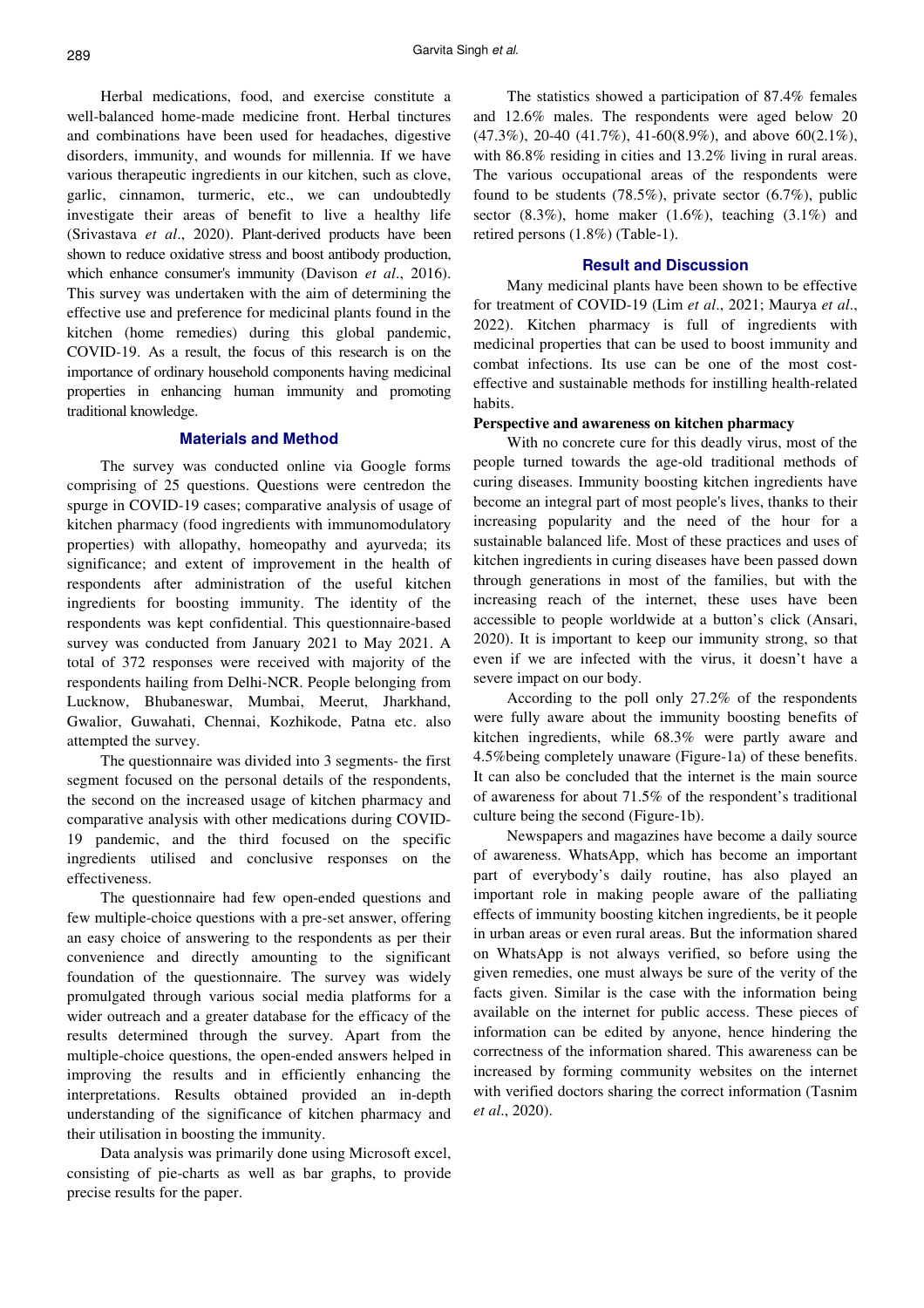Herbal medications, food, and exercise constitute a well-balanced home-made medicine front. Herbal tinctures and combinations have been used for headaches, digestive disorders, immunity, and wounds for millennia. If we have various therapeutic ingredients in our kitchen, such as clove, garlic, cinnamon, turmeric, etc., we can undoubtedly investigate their areas of benefit to live a healthy life (Srivastava *et al*., 2020). Plant-derived products have been shown to reduce oxidative stress and boost antibody production, which enhance consumer's immunity (Davison *et al*., 2016). This survey was undertaken with the aim of determining the effective use and preference for medicinal plants found in the kitchen (home remedies) during this global pandemic, COVID-19. As a result, the focus of this research is on the importance of ordinary household components having medicinal properties in enhancing human immunity and promoting traditional knowledge.

#### **Materials and Method**

The survey was conducted online via Google forms comprising of 25 questions. Questions were centredon the spurge in COVID-19 cases; comparative analysis of usage of kitchen pharmacy (food ingredients with immunomodulatory properties) with allopathy, homeopathy and ayurveda; its significance; and extent of improvement in the health of respondents after administration of the useful kitchen ingredients for boosting immunity. The identity of the respondents was kept confidential. This questionnaire-based survey was conducted from January 2021 to May 2021. A total of 372 responses were received with majority of the respondents hailing from Delhi-NCR. People belonging from Lucknow, Bhubaneswar, Mumbai, Meerut, Jharkhand, Gwalior, Guwahati, Chennai, Kozhikode, Patna etc. also attempted the survey.

The questionnaire was divided into 3 segments- the first segment focused on the personal details of the respondents, the second on the increased usage of kitchen pharmacy and comparative analysis with other medications during COVID-19 pandemic, and the third focused on the specific ingredients utilised and conclusive responses on the effectiveness.

The questionnaire had few open-ended questions and few multiple-choice questions with a pre-set answer, offering an easy choice of answering to the respondents as per their convenience and directly amounting to the significant foundation of the questionnaire. The survey was widely promulgated through various social media platforms for a wider outreach and a greater database for the efficacy of the results determined through the survey. Apart from the multiple-choice questions, the open-ended answers helped in improving the results and in efficiently enhancing the interpretations. Results obtained provided an in-depth understanding of the significance of kitchen pharmacy and their utilisation in boosting the immunity.

Data analysis was primarily done using Microsoft excel, consisting of pie-charts as well as bar graphs, to provide precise results for the paper.

The statistics showed a participation of 87.4% females and 12.6% males. The respondents were aged below 20 (47.3%), 20-40 (41.7%), 41-60(8.9%), and above 60(2.1%), with 86.8% residing in cities and 13.2% living in rural areas. The various occupational areas of the respondents were found to be students (78.5%), private sector (6.7%), public sector  $(8.3\%)$ , home maker  $(1.6\%)$ , teaching  $(3.1\%)$  and retired persons (1.8%) (Table-1).

#### **Result and Discussion**

Many medicinal plants have been shown to be effective for treatment of COVID-19 (Lim *et al*., 2021; Maurya *et al*., 2022). Kitchen pharmacy is full of ingredients with medicinal properties that can be used to boost immunity and combat infections. Its use can be one of the most costeffective and sustainable methods for instilling health-related habits.

#### **Perspective and awareness on kitchen pharmacy**

With no concrete cure for this deadly virus, most of the people turned towards the age-old traditional methods of curing diseases. Immunity boosting kitchen ingredients have become an integral part of most people's lives, thanks to their increasing popularity and the need of the hour for a sustainable balanced life. Most of these practices and uses of kitchen ingredients in curing diseases have been passed down through generations in most of the families, but with the increasing reach of the internet, these uses have been accessible to people worldwide at a button's click (Ansari, 2020). It is important to keep our immunity strong, so that even if we are infected with the virus, it doesn't have a severe impact on our body.

According to the poll only 27.2% of the respondents were fully aware about the immunity boosting benefits of kitchen ingredients, while 68.3% were partly aware and 4.5%being completely unaware (Figure-1a) of these benefits. It can also be concluded that the internet is the main source of awareness for about 71.5% of the respondent's traditional culture being the second (Figure-1b).

Newspapers and magazines have become a daily source of awareness. WhatsApp, which has become an important part of everybody's daily routine, has also played an important role in making people aware of the palliating effects of immunity boosting kitchen ingredients, be it people in urban areas or even rural areas. But the information shared on WhatsApp is not always verified, so before using the given remedies, one must always be sure of the verity of the facts given. Similar is the case with the information being available on the internet for public access. These pieces of information can be edited by anyone, hence hindering the correctness of the information shared. This awareness can be increased by forming community websites on the internet with verified doctors sharing the correct information (Tasnim *et al*., 2020).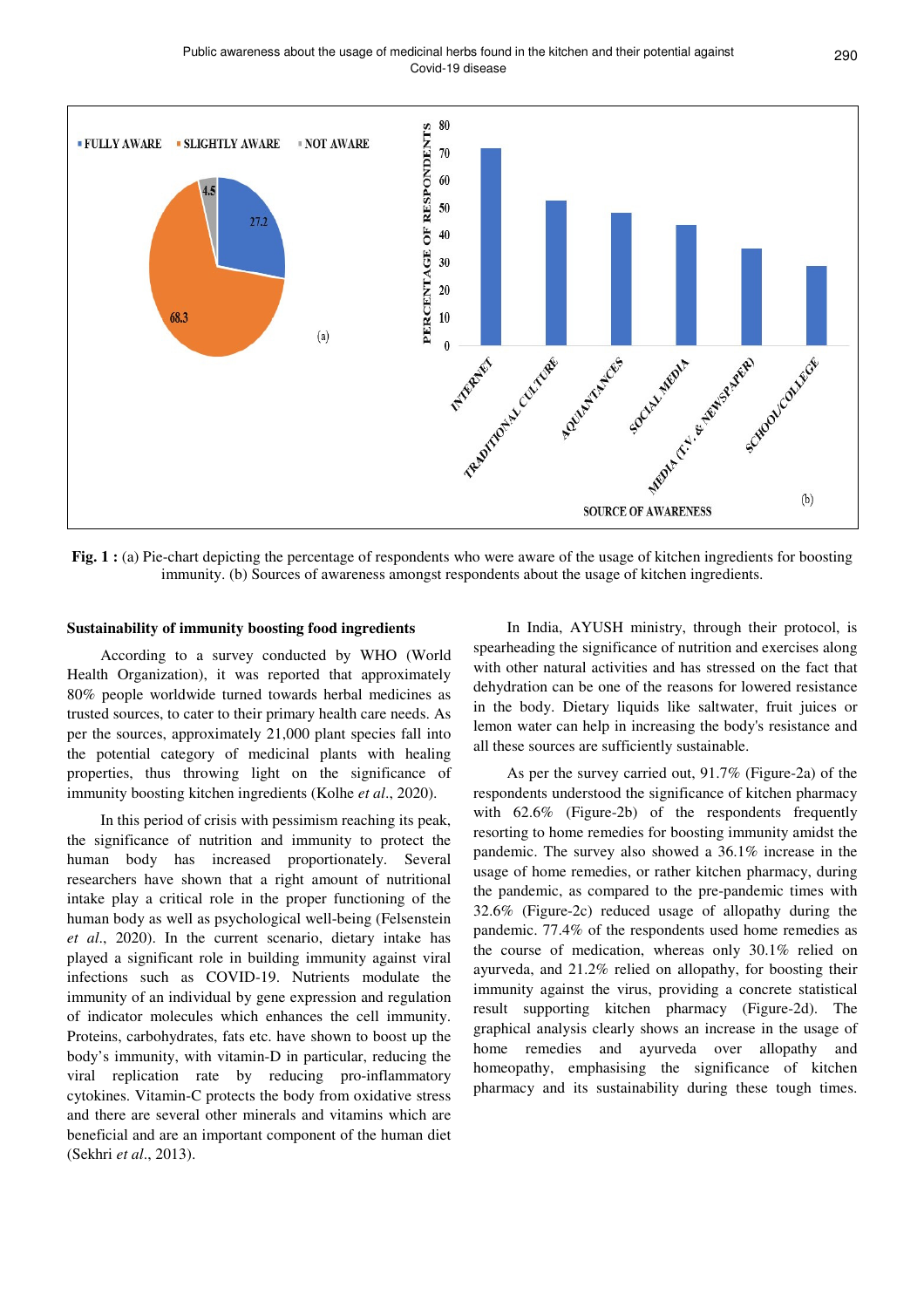Public awareness about the usage of medicinal herbs found in the kitchen and their potential against 290 Covid-19 disease



Fig. 1 : (a) Pie-chart depicting the percentage of respondents who were aware of the usage of kitchen ingredients for boosting immunity. (b) Sources of awareness amongst respondents about the usage of kitchen ingredients.

#### **Sustainability of immunity boosting food ingredients**

According to a survey conducted by WHO (World Health Organization), it was reported that approximately 80% people worldwide turned towards herbal medicines as trusted sources, to cater to their primary health care needs. As per the sources, approximately 21,000 plant species fall into the potential category of medicinal plants with healing properties, thus throwing light on the significance of immunity boosting kitchen ingredients (Kolhe *et al*., 2020).

In this period of crisis with pessimism reaching its peak, the significance of nutrition and immunity to protect the human body has increased proportionately. Several researchers have shown that a right amount of nutritional intake play a critical role in the proper functioning of the human body as well as psychological well-being (Felsenstein *et al*., 2020). In the current scenario, dietary intake has played a significant role in building immunity against viral infections such as COVID-19. Nutrients modulate the immunity of an individual by gene expression and regulation of indicator molecules which enhances the cell immunity. Proteins, carbohydrates, fats etc. have shown to boost up the body's immunity, with vitamin-D in particular, reducing the viral replication rate by reducing pro-inflammatory cytokines. Vitamin-C protects the body from oxidative stress and there are several other minerals and vitamins which are beneficial and are an important component of the human diet (Sekhri *et al*., 2013).

In India, AYUSH ministry, through their protocol, is spearheading the significance of nutrition and exercises along with other natural activities and has stressed on the fact that dehydration can be one of the reasons for lowered resistance in the body. Dietary liquids like saltwater, fruit juices or lemon water can help in increasing the body's resistance and all these sources are sufficiently sustainable.

As per the survey carried out, 91.7% (Figure-2a) of the respondents understood the significance of kitchen pharmacy with 62.6% (Figure-2b) of the respondents frequently resorting to home remedies for boosting immunity amidst the pandemic. The survey also showed a 36.1% increase in the usage of home remedies, or rather kitchen pharmacy, during the pandemic, as compared to the pre-pandemic times with 32.6% (Figure-2c) reduced usage of allopathy during the pandemic. 77.4% of the respondents used home remedies as the course of medication, whereas only 30.1% relied on ayurveda, and 21.2% relied on allopathy, for boosting their immunity against the virus, providing a concrete statistical result supporting kitchen pharmacy (Figure-2d). The graphical analysis clearly shows an increase in the usage of home remedies and ayurveda over allopathy and homeopathy, emphasising the significance of kitchen pharmacy and its sustainability during these tough times.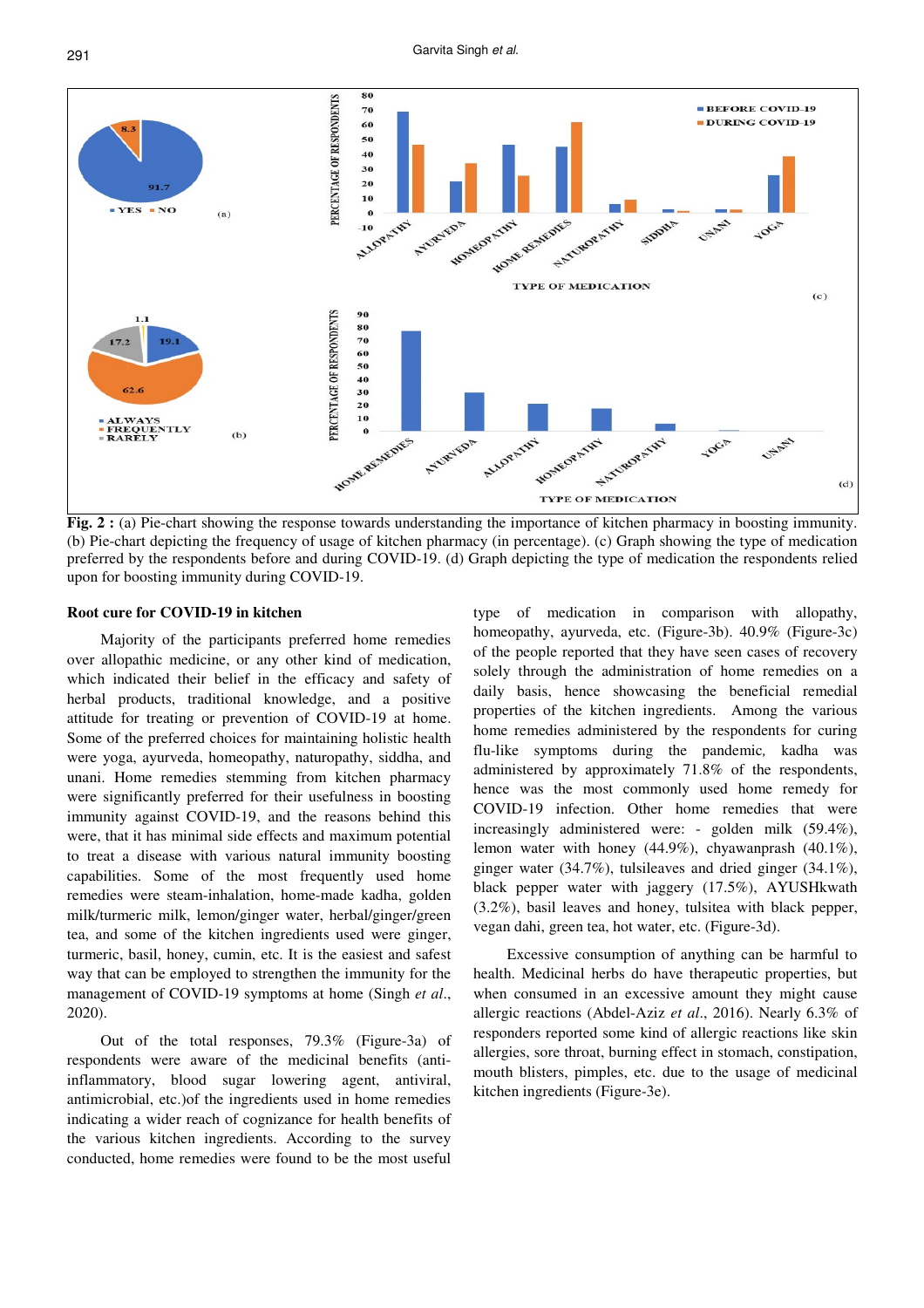

**Fig. 2 :** (a) Pie-chart showing the response towards understanding the importance of kitchen pharmacy in boosting immunity. (b) Pie-chart depicting the frequency of usage of kitchen pharmacy (in percentage). (c) Graph showing the type of medication preferred by the respondents before and during COVID-19. (d) Graph depicting the type of medication the respondents relied upon for boosting immunity during COVID-19.

#### **Root cure for COVID-19 in kitchen**

Majority of the participants preferred home remedies over allopathic medicine, or any other kind of medication, which indicated their belief in the efficacy and safety of herbal products, traditional knowledge, and a positive attitude for treating or prevention of COVID-19 at home. Some of the preferred choices for maintaining holistic health were yoga, ayurveda, homeopathy, naturopathy, siddha, and unani. Home remedies stemming from kitchen pharmacy were significantly preferred for their usefulness in boosting immunity against COVID-19, and the reasons behind this were, that it has minimal side effects and maximum potential to treat a disease with various natural immunity boosting capabilities. Some of the most frequently used home remedies were steam-inhalation, home-made kadha, golden milk/turmeric milk, lemon/ginger water, herbal/ginger/green tea, and some of the kitchen ingredients used were ginger, turmeric, basil, honey, cumin, etc. It is the easiest and safest way that can be employed to strengthen the immunity for the management of COVID-19 symptoms at home (Singh *et al*., 2020).

Out of the total responses, 79.3% (Figure-3a) of respondents were aware of the medicinal benefits (antiinflammatory, blood sugar lowering agent, antiviral, antimicrobial, etc.)of the ingredients used in home remedies indicating a wider reach of cognizance for health benefits of the various kitchen ingredients. According to the survey conducted, home remedies were found to be the most useful

type of medication in comparison with allopathy, homeopathy, ayurveda, etc. (Figure-3b). 40.9% (Figure-3c) of the people reported that they have seen cases of recovery solely through the administration of home remedies on a daily basis, hence showcasing the beneficial remedial properties of the kitchen ingredients. Among the various home remedies administered by the respondents for curing flu-like symptoms during the pandemic*,* kadha was administered by approximately 71.8% of the respondents, hence was the most commonly used home remedy for COVID-19 infection. Other home remedies that were increasingly administered were: - golden milk (59.4%), lemon water with honey (44.9%), chyawanprash (40.1%), ginger water (34.7%), tulsileaves and dried ginger (34.1%), black pepper water with jaggery (17.5%), AYUSHkwath (3.2%), basil leaves and honey, tulsitea with black pepper, vegan dahi, green tea, hot water, etc. (Figure-3d).

Excessive consumption of anything can be harmful to health. Medicinal herbs do have therapeutic properties, but when consumed in an excessive amount they might cause allergic reactions (Abdel-Aziz *et al*., 2016). Nearly 6.3% of responders reported some kind of allergic reactions like skin allergies, sore throat, burning effect in stomach, constipation, mouth blisters, pimples, etc. due to the usage of medicinal kitchen ingredients (Figure-3e).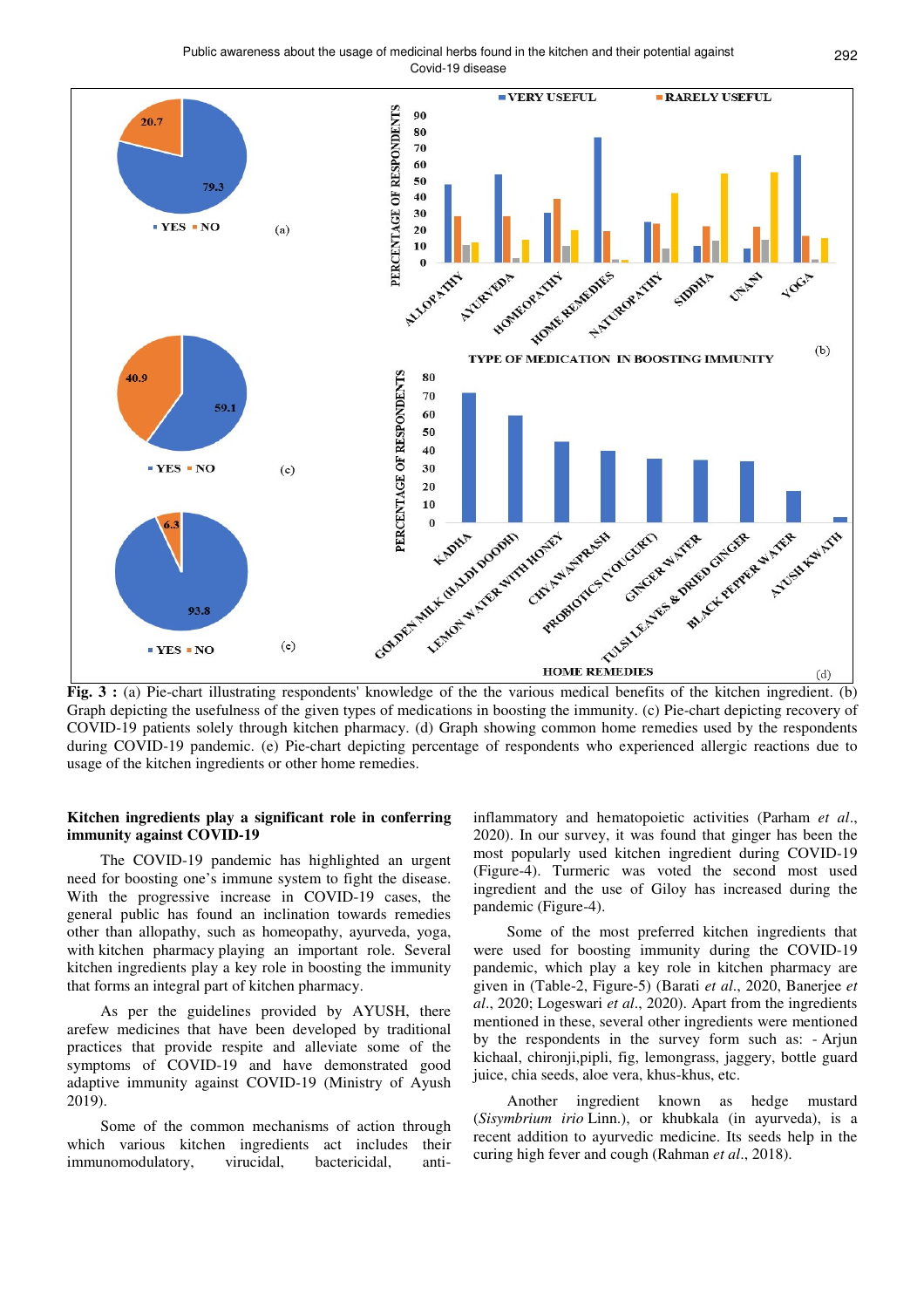Public awareness about the usage of medicinal herbs found in the kitchen and their potential against 292 Covid-19 disease



**Fig. 3** : (a) Pie-chart illustrating respondents' knowledge of the the various medical benefits of the kitchen ingredient. (b) Graph depicting the usefulness of the given types of medications in boosting the immunity. (c) Pie-chart depicting recovery of COVID-19 patients solely through kitchen pharmacy. (d) Graph showing common home remedies used by the respondents during COVID-19 pandemic. (e) Pie-chart depicting percentage of respondents who experienced allergic reactions due to usage of the kitchen ingredients or other home remedies.

#### **Kitchen ingredients play a significant role in conferring immunity against COVID-19**

The COVID-19 pandemic has highlighted an urgent need for boosting one's immune system to fight the disease. With the progressive increase in COVID-19 cases, the general public has found an inclination towards remedies other than allopathy, such as homeopathy, ayurveda, yoga, with kitchen pharmacy playing an important role. Several kitchen ingredients play a key role in boosting the immunity that forms an integral part of kitchen pharmacy.

As per the guidelines provided by AYUSH, there arefew medicines that have been developed by traditional practices that provide respite and alleviate some of the symptoms of COVID-19 and have demonstrated good adaptive immunity against COVID-19 (Ministry of Ayush 2019).

Some of the common mechanisms of action through which various kitchen ingredients act includes their immunomodulatory, virucidal, bactericidal, anti-

inflammatory and hematopoietic activities (Parham *et al*., 2020). In our survey, it was found that ginger has been the most popularly used kitchen ingredient during COVID-19 (Figure-4). Turmeric was voted the second most used ingredient and the use of Giloy has increased during the pandemic (Figure-4).

Some of the most preferred kitchen ingredients that were used for boosting immunity during the COVID-19 pandemic, which play a key role in kitchen pharmacy are given in (Table-2, Figure-5) (Barati *et al*., 2020, Banerjee *et al*., 2020; Logeswari *et al*., 2020). Apart from the ingredients mentioned in these, several other ingredients were mentioned by the respondents in the survey form such as: - Arjun kichaal, chironji,pipli, fig, lemongrass, jaggery, bottle guard juice, chia seeds, aloe vera, khus-khus, etc.

Another ingredient known as hedge mustard (*Sisymbrium irio* Linn.), or khubkala (in ayurveda), is a recent addition to ayurvedic medicine. Its seeds help in the curing high fever and cough (Rahman *et al*., 2018).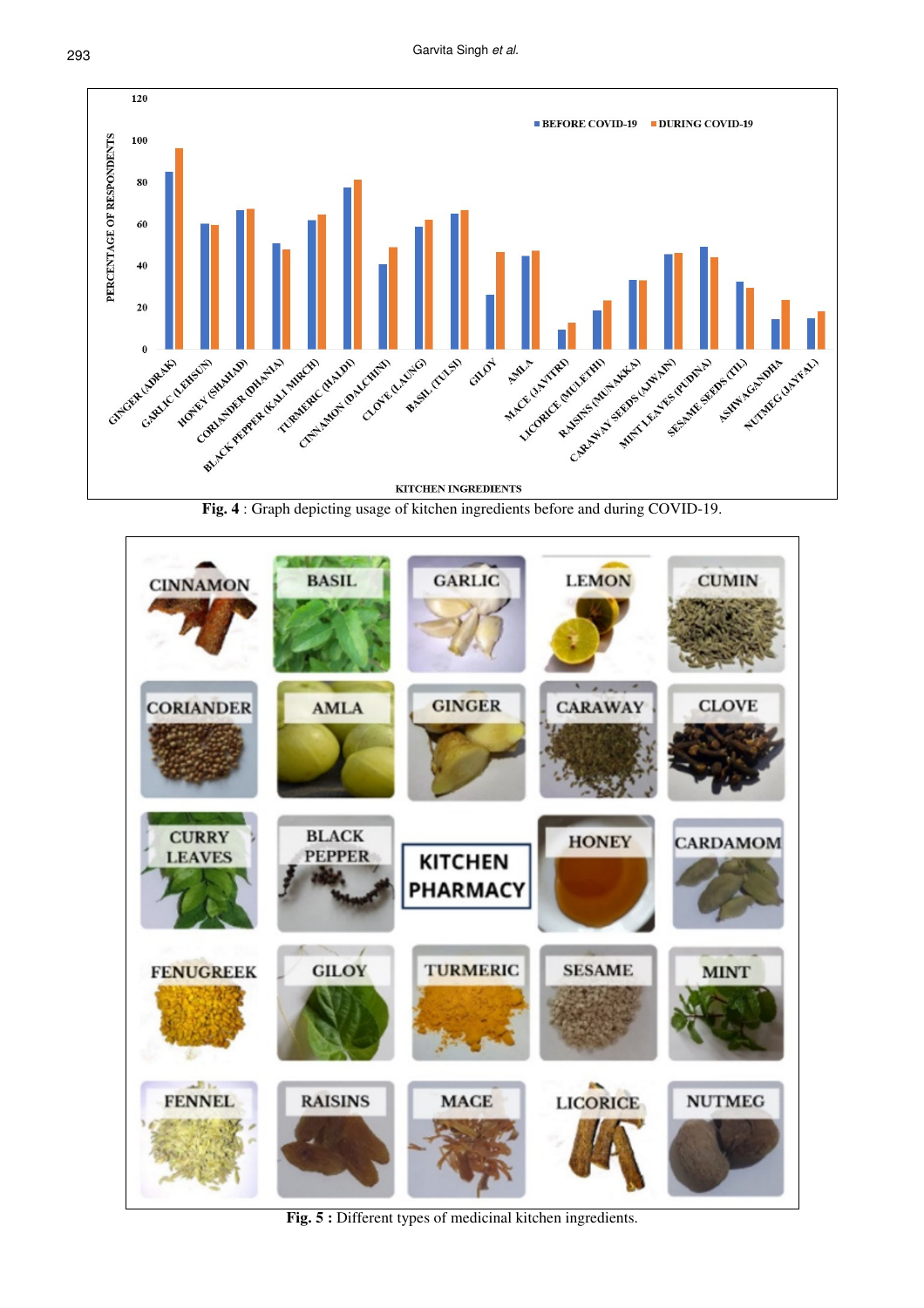

**Fig. 4** : Graph depicting usage of kitchen ingredients before and during COVID-19.



**Fig. 5 :** Different types of medicinal kitchen ingredients.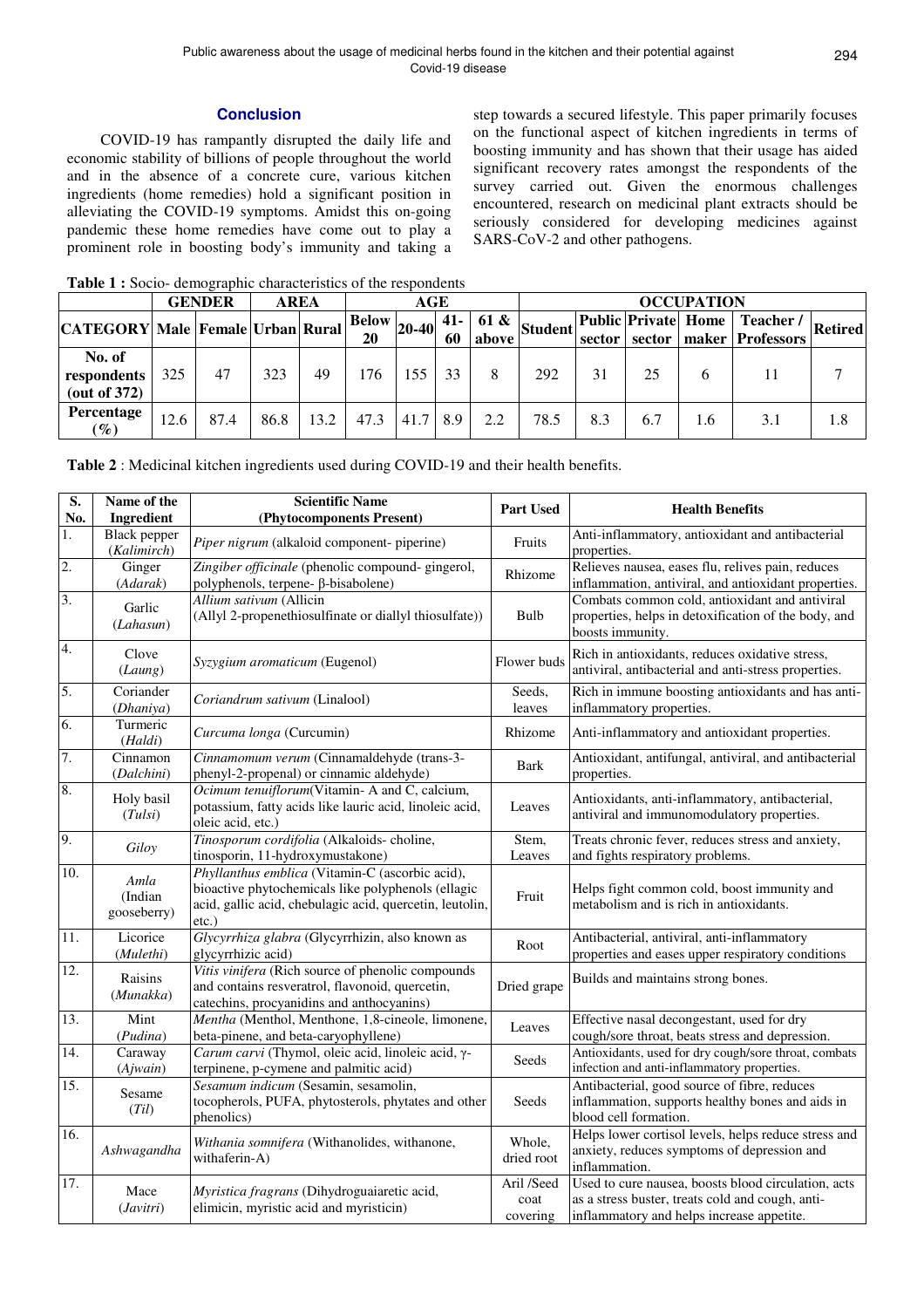### **Conclusion**

COVID-19 has rampantly disrupted the daily life and economic stability of billions of people throughout the world and in the absence of a concrete cure, various kitchen ingredients (home remedies) hold a significant position in alleviating the COVID-19 symptoms. Amidst this on-going pandemic these home remedies have come out to play a prominent role in boosting body's immunity and taking a step towards a secured lifestyle. This paper primarily focuses on the functional aspect of kitchen ingredients in terms of boosting immunity and has shown that their usage has aided significant recovery rates amongst the respondents of the survey carried out. Given the enormous challenges encountered, research on medicinal plant extracts should be seriously considered for developing medicines against SARS-CoV-2 and other pathogens.

|                                                 | <b>GENDER</b> |      |      | <b>AREA</b> |                                               | AGE                |    |       |      | <b>OCCUPATION</b> |     |     |                                                                                                        |  |  |
|-------------------------------------------------|---------------|------|------|-------------|-----------------------------------------------|--------------------|----|-------|------|-------------------|-----|-----|--------------------------------------------------------------------------------------------------------|--|--|
| <b>CATEGORY Male Female Urban Rural</b>         |               |      |      |             | $\frac{1600}{20}$ 20-40 $\frac{41}{60}$<br>20 |                    | 60 | above |      |                   |     |     | 61 & $_{\text{Student}}$ Public Private Home Teacher / Retired<br>sector   sector   maker   Professors |  |  |
| No. of<br>respondents<br>$(\text{out of } 372)$ | 325           | 47   | 323  | 49          | 176                                           | 155                | 33 |       | 292  | 31                | 25  | 6   |                                                                                                        |  |  |
| Percentage<br>$(\%)$                            | 12.6          | 87.4 | 86.8 | 13.2        | 47.3                                          | $41.7 \,   \, 8.9$ |    | 2.2   | 78.5 | 8.3               | 6.7 | 1.6 | 3.1                                                                                                    |  |  |

**Table 1 :** Socio- demographic characteristics of the respondents

|  | Table 2 : Medicinal kitchen ingredients used during COVID-19 and their health benefits. |
|--|-----------------------------------------------------------------------------------------|
|  |                                                                                         |

| $\overline{\mathbf{S}}$ .<br>No. | Name of the<br>Ingredient          | <b>Scientific Name</b><br>(Phytocomponents Present)                                                                                                                        | <b>Part Used</b>               | <b>Health Benefits</b>                                                                                                                               |
|----------------------------------|------------------------------------|----------------------------------------------------------------------------------------------------------------------------------------------------------------------------|--------------------------------|------------------------------------------------------------------------------------------------------------------------------------------------------|
| 1.                               | <b>Black</b> pepper<br>(Kalimirch) | Piper nigrum (alkaloid component- piperine)                                                                                                                                | Fruits                         | Anti-inflammatory, antioxidant and antibacterial<br>properties.                                                                                      |
| 2.                               | Ginger<br>(Adarak)                 | Zingiber officinale (phenolic compound- gingerol,<br>polyphenols, terpene- ß-bisabolene)                                                                                   | Rhizome                        | Relieves nausea, eases flu, relives pain, reduces<br>inflammation, antiviral, and antioxidant properties.                                            |
| 3.                               | Garlic<br>(Lahasun)                | Allium sativum (Allicin<br>(Allyl 2-propenethiosulfinate or diallyl thiosulfate))                                                                                          | Bulb                           | Combats common cold, antioxidant and antiviral<br>properties, helps in detoxification of the body, and<br>boosts immunity.                           |
| 4.                               | Clove<br>(Laung)                   | Syzygium aromaticum (Eugenol)                                                                                                                                              | Flower buds                    | Rich in antioxidants, reduces oxidative stress,<br>antiviral, antibacterial and anti-stress properties.                                              |
| 5.                               | Coriander<br>(Dhaniya)             | Coriandrum sativum (Linalool)                                                                                                                                              | Seeds,<br>leaves               | Rich in immune boosting antioxidants and has anti-<br>inflammatory properties.                                                                       |
| 6.                               | Turmeric<br>(Haldi)                | Curcuma longa (Curcumin)                                                                                                                                                   | Rhizome                        | Anti-inflammatory and antioxidant properties.                                                                                                        |
| 7.                               | Cinnamon<br>(Dalchini)             | Cinnamomum verum (Cinnamaldehyde (trans-3-<br>phenyl-2-propenal) or cinnamic aldehyde)                                                                                     | <b>Bark</b>                    | Antioxidant, antifungal, antiviral, and antibacterial<br>properties.                                                                                 |
| 8.                               | Holy basil<br>(Tulsi)              | Ocimum tenuiflorum(Vitamin-A and C, calcium,<br>potassium, fatty acids like lauric acid, linoleic acid,<br>oleic acid, etc.)                                               | Leaves                         | Antioxidants, anti-inflammatory, antibacterial,<br>antiviral and immunomodulatory properties.                                                        |
| 9.                               | Giloy                              | Tinosporum cordifolia (Alkaloids-choline,<br>tinosporin, 11-hydroxymustakone)                                                                                              | Stem,<br>Leaves                | Treats chronic fever, reduces stress and anxiety,<br>and fights respiratory problems.                                                                |
| 10.                              | Amla<br>(Indian<br>gooseberry)     | Phyllanthus emblica (Vitamin-C (ascorbic acid),<br>bioactive phytochemicals like polyphenols (ellagic<br>acid, gallic acid, chebulagic acid, quercetin, leutolin,<br>etc.) | Fruit                          | Helps fight common cold, boost immunity and<br>metabolism and is rich in antioxidants.                                                               |
| 11.                              | Licorice<br>(Mulethi)              | Glycyrrhiza glabra (Glycyrrhizin, also known as<br>glycyrrhizic acid)                                                                                                      | Root                           | Antibacterial, antiviral, anti-inflammatory<br>properties and eases upper respiratory conditions                                                     |
| $\overline{12}$ .                | Raisins<br>(Munakka)               | Vitis vinifera (Rich source of phenolic compounds<br>and contains resveratrol, flavonoid, quercetin,<br>catechins, procyanidins and anthocyanins)                          | Dried grape                    | Builds and maintains strong bones.                                                                                                                   |
| 13.                              | Mint<br>(Pudina)                   | Mentha (Menthol, Menthone, 1,8-cineole, limonene,<br>beta-pinene, and beta-caryophyllene)                                                                                  | Leaves                         | Effective nasal decongestant, used for dry<br>cough/sore throat, beats stress and depression.                                                        |
| $\overline{14}$ .                | Caraway<br>(Ajwain)                | Carum carvi (Thymol, oleic acid, linoleic acid, γ-<br>terpinene, p-cymene and palmitic acid)                                                                               | Seeds                          | Antioxidants, used for dry cough/sore throat, combats<br>infection and anti-inflammatory properties.                                                 |
| 15.                              | Sesame<br>(Til)                    | Sesamum indicum (Sesamin, sesamolin,<br>tocopherols, PUFA, phytosterols, phytates and other<br>phenolics)                                                                  | Seeds                          | Antibacterial, good source of fibre, reduces<br>inflammation, supports healthy bones and aids in<br>blood cell formation.                            |
| 16.                              | Ashwagandha                        | Withania somnifera (Withanolides, withanone,<br>withaferin-A)                                                                                                              | Whole,<br>dried root           | Helps lower cortisol levels, helps reduce stress and<br>anxiety, reduces symptoms of depression and<br>inflammation.                                 |
| 17.                              | Mace<br>(Javitri)                  | Myristica fragrans (Dihydroguaiaretic acid,<br>elimicin, myristic acid and myristicin)                                                                                     | Aril /Seed<br>coat<br>covering | Used to cure nausea, boosts blood circulation, acts<br>as a stress buster, treats cold and cough, anti-<br>inflammatory and helps increase appetite. |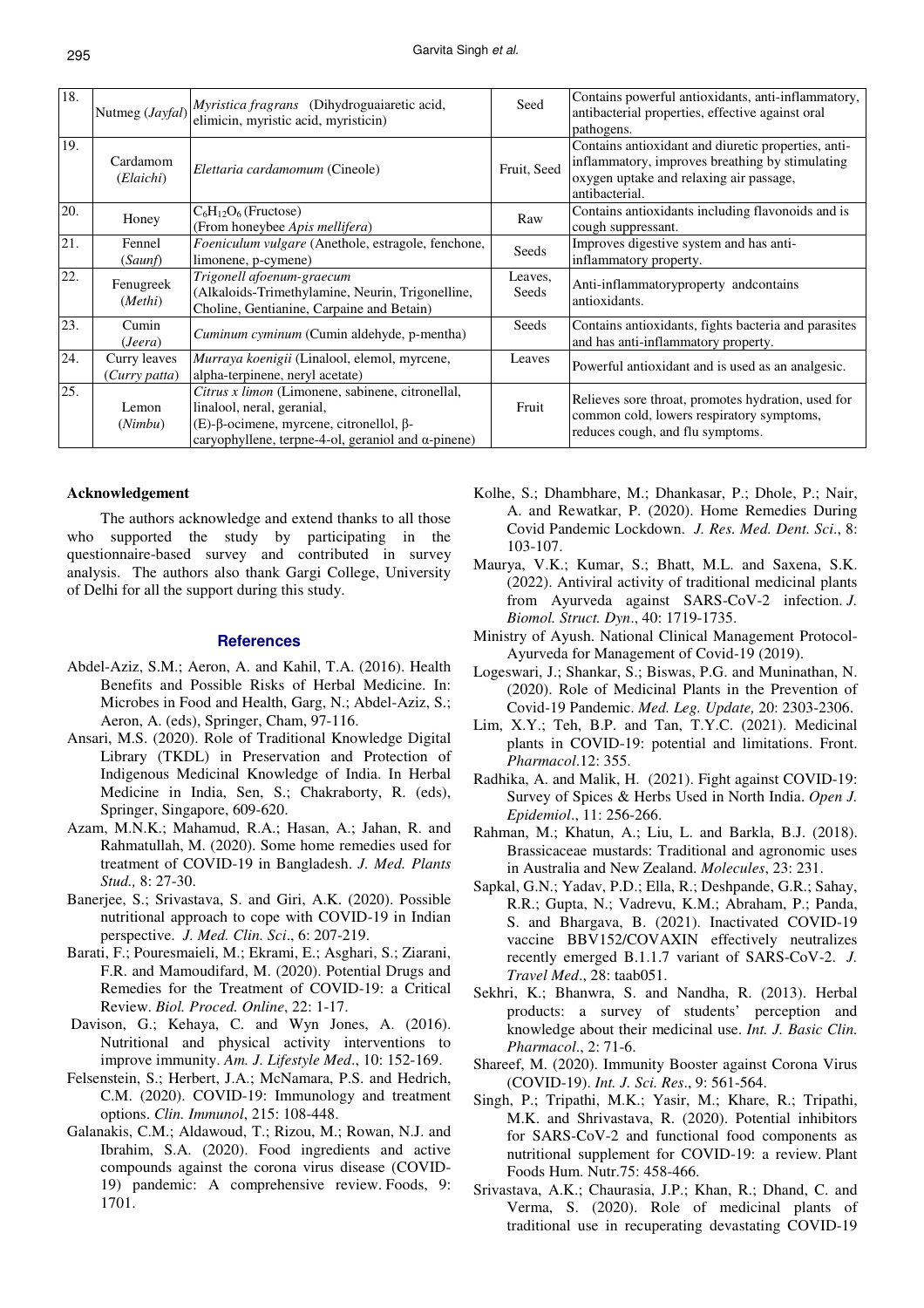| 18. | Nutmeg (Jayfal)               | Myristica fragrans (Dihydroguaiaretic acid,<br>elimicin, myristic acid, myristicin)                                                                                             | Seed             | Contains powerful antioxidants, anti-inflammatory,<br>antibacterial properties, effective against oral<br>pathogens.                                                |
|-----|-------------------------------|---------------------------------------------------------------------------------------------------------------------------------------------------------------------------------|------------------|---------------------------------------------------------------------------------------------------------------------------------------------------------------------|
| 19. | Cardamom<br>(Elaichi)         | Elettaria cardamomum (Cineole)                                                                                                                                                  | Fruit, Seed      | Contains antioxidant and diuretic properties, anti-<br>inflammatory, improves breathing by stimulating<br>oxygen uptake and relaxing air passage,<br>antibacterial. |
| 20. | Honey                         | $C_6H_{12}O_6$ (Fructose)<br>(From honeybee Apis mellifera)                                                                                                                     | Raw              | Contains antioxidants including flavonoids and is<br>cough suppressant.                                                                                             |
| 21. | Fennel<br>(Saunf)             | Foeniculum vulgare (Anethole, estragole, fenchone,<br>limonene, p-cymene)                                                                                                       | Seeds            | Improves digestive system and has anti-<br>inflammatory property.                                                                                                   |
| 22. | Fenugreek<br>(Methi)          | Trigonell afoenum-graecum<br>(Alkaloids-Trimethylamine, Neurin, Trigonelline,<br>Choline, Gentianine, Carpaine and Betain)                                                      | Leaves,<br>Seeds | Anti-inflammatoryproperty and contains<br>antioxidants.                                                                                                             |
| 23. | Cumin<br>(Jeera)              | <i>Cuminum cyminum</i> (Cumin aldehyde, p-mentha)                                                                                                                               | Seeds            | Contains antioxidants, fights bacteria and parasites<br>and has anti-inflammatory property.                                                                         |
| 24. | Curry leaves<br>(Curry patta) | Murraya koenigii (Linalool, elemol, myrcene,<br>alpha-terpinene, neryl acetate)                                                                                                 | Leaves           | Powerful antioxidant and is used as an analgesic.                                                                                                                   |
| 25. | Lemon<br>(Nimbu)              | Citrus x limon (Limonene, sabinene, citronellal,<br>linalool, neral, geranial,<br>(E)-β-ocimene, myrcene, citronellol, β-<br>caryophyllene, terpne-4-ol, geraniol and α-pinene) | Fruit            | Relieves sore throat, promotes hydration, used for<br>common cold, lowers respiratory symptoms,<br>reduces cough, and flu symptoms.                                 |

#### **Acknowledgement**

The authors acknowledge and extend thanks to all those who supported the study by participating in the questionnaire-based survey and contributed in survey analysis. The authors also thank Gargi College, University of Delhi for all the support during this study.

#### **References**

- Abdel-Aziz, S.M.; Aeron, A. and Kahil, T.A. (2016). Health Benefits and Possible Risks of Herbal Medicine. In: Microbes in Food and Health, Garg, N.; Abdel-Aziz, S.; Aeron, A. (eds), Springer, Cham, 97-116.
- Ansari, M.S. (2020). Role of Traditional Knowledge Digital Library (TKDL) in Preservation and Protection of Indigenous Medicinal Knowledge of India. In Herbal Medicine in India, Sen, S.; Chakraborty, R. (eds), Springer, Singapore, 609-620.
- Azam, M.N.K.; Mahamud, R.A.; Hasan, A.; Jahan, R. and Rahmatullah, M. (2020). Some home remedies used for treatment of COVID-19 in Bangladesh. *J. Med. Plants Stud.,* 8: 27-30.
- Banerjee, S.; Srivastava, S. and Giri, A.K. (2020). Possible nutritional approach to cope with COVID-19 in Indian perspective. *J. Med. Clin. Sci*., 6: 207-219.
- Barati, F.; Pouresmaieli, M.; Ekrami, E.; Asghari, S.; Ziarani, F.R. and Mamoudifard, M. (2020). Potential Drugs and Remedies for the Treatment of COVID-19: a Critical Review. *Biol. Proced. Online*, 22: 1-17.
- Davison, G.; Kehaya, C. and Wyn Jones, A. (2016). Nutritional and physical activity interventions to improve immunity. *Am. J. Lifestyle Med*., 10: 152-169.
- Felsenstein, S.; Herbert, J.A.; McNamara, P.S. and Hedrich, C.M. (2020). COVID-19: Immunology and treatment options. *Clin. Immunol*, 215: 108-448.
- Galanakis, C.M.; Aldawoud, T.; Rizou, M.; Rowan, N.J. and Ibrahim, S.A. (2020). Food ingredients and active compounds against the corona virus disease (COVID-19) pandemic: A comprehensive review. Foods, 9: 1701.
- Kolhe, S.; Dhambhare, M.; Dhankasar, P.; Dhole, P.; Nair, A. and Rewatkar, P. (2020). Home Remedies During Covid Pandemic Lockdown. *J. Res. Med. Dent. Sci*., 8: 103-107.
- Maurya, V.K.; Kumar, S.; Bhatt, M.L. and Saxena, S.K. (2022). Antiviral activity of traditional medicinal plants from Ayurveda against SARS-CoV-2 infection. *J. Biomol. Struct. Dyn*., 40: 1719-1735.
- Ministry of Ayush. National Clinical Management Protocol-Ayurveda for Management of Covid-19 (2019).
- Logeswari, J.; Shankar, S.; Biswas, P.G. and Muninathan, N. (2020). Role of Medicinal Plants in the Prevention of Covid-19 Pandemic. *Med. Leg. Update,* 20: 2303-2306.
- Lim, X.Y.; Teh, B.P. and Tan, T.Y.C. (2021). Medicinal plants in COVID-19: potential and limitations. Front. *Pharmacol*.12: 355.
- Radhika, A. and Malik, H. (2021). Fight against COVID-19: Survey of Spices & Herbs Used in North India. *Open J. Epidemiol*., 11: 256-266.
- Rahman, M.; Khatun, A.; Liu, L. and Barkla, B.J. (2018). Brassicaceae mustards: Traditional and agronomic uses in Australia and New Zealand. *Molecules*, 23: 231.
- Sapkal, G.N.; Yadav, P.D.; Ella, R.; Deshpande, G.R.; Sahay, R.R.; Gupta, N.; Vadrevu, K.M.; Abraham, P.; Panda, S. and Bhargava, B. (2021). Inactivated COVID-19 vaccine BBV152/COVAXIN effectively neutralizes recently emerged B.1.1.7 variant of SARS-CoV-2. *J. Travel Med*., 28: taab051.
- Sekhri, K.; Bhanwra, S. and Nandha, R. (2013). Herbal products: a survey of students' perception and knowledge about their medicinal use. *Int. J. Basic Clin. Pharmacol*., 2: 71-6.
- Shareef, M. (2020). Immunity Booster against Corona Virus (COVID-19). *Int. J. Sci. Res*., 9: 561-564.
- Singh, P.; Tripathi, M.K.; Yasir, M.; Khare, R.; Tripathi, M.K. and Shrivastava, R. (2020). Potential inhibitors for SARS-CoV-2 and functional food components as nutritional supplement for COVID-19: a review. Plant Foods Hum. Nutr.75: 458-466.
- Srivastava, A.K.; Chaurasia, J.P.; Khan, R.; Dhand, C. and Verma, S. (2020). Role of medicinal plants of traditional use in recuperating devastating COVID-19